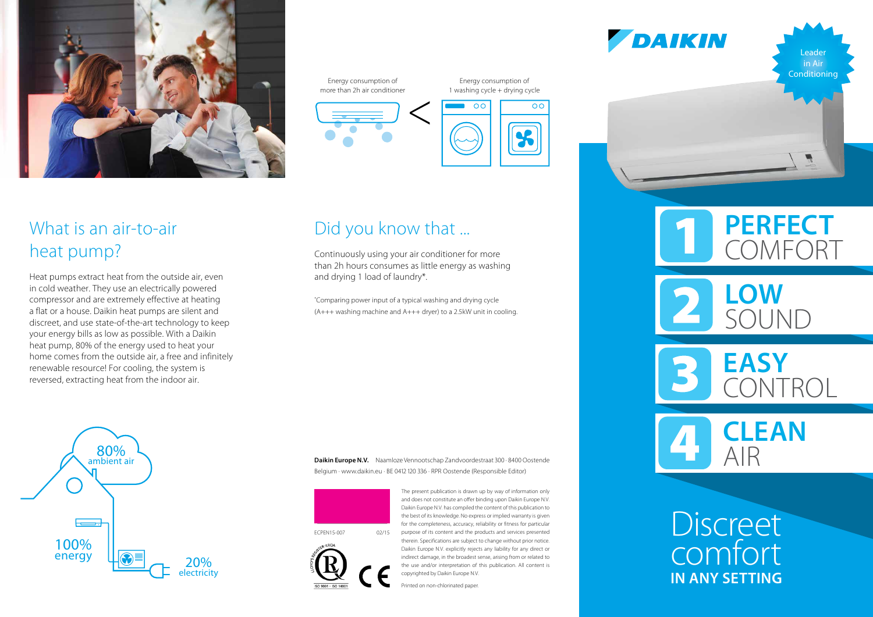

## What is an air-to-air heat pump?

Heat pumps extract heat from the outside air, even in cold weather. They use an electrically powered compressor and are extremely effective at heating a flat or a house. Daikin heat pumps are silent and discreet, and use state-of-the-art technology to keep your energy bills as low as possible. With a Daikin heat pump, 80% of the energy used to heat your home comes from the outside air, a free and infinitely renewable resource! For cooling, the system is reversed, extracting heat from the indoor air.

Energy consumption of more than 2h air conditioner

Energy consumption of 1 washing cycle + drying cycle





# Did you know that ...

Continuously using your air conditioner for more than 2h hours consumes as little energy as washing and drying 1 load of laundry\*.

\* Comparing power input of a typical washing and drying cycle (A+++ washing machine and A+++ dryer) to a 2.5kW unit in cooling.

100% energy 80% ambient air 20% electricity

**Daikin Europe N.V.** Naamloze Vennootschap Zandvoordestraat 300 · 8400 Oostende Belgium · www.daikin.eu · BE 0412 120 336 · RPR Oostende (Responsible Editor)



the best of its knowledge. No express or implied warranty is given for the completeness, accuracy, reliability or fitness for particular purpose of its content and the products and services presented therein. Specifications are subject to change without prior notice. Daikin Europe N.V. explicitly rejects any liability for any direct or indirect damage, in the broadest sense, arising from or related to the use and/or interpretation of this publication. All content is copyrighted by Daikin Europe N.V. ECPEN15-007 02/15

The present publication is drawn up by way of information only and does not constitute an offer binding upon Daikin Europe N.V. Daikin Europe N.V. has compiled the content of this publication to

Printed on non-chlorinated paper.

DAIKIN

Leader **Conditioning** 



**PERFECT COMFORT LOW**

**EASY** CONTROL

SOUND

**CLEAN** AIR

**Discreet** comfort **IN ANY SETTING**